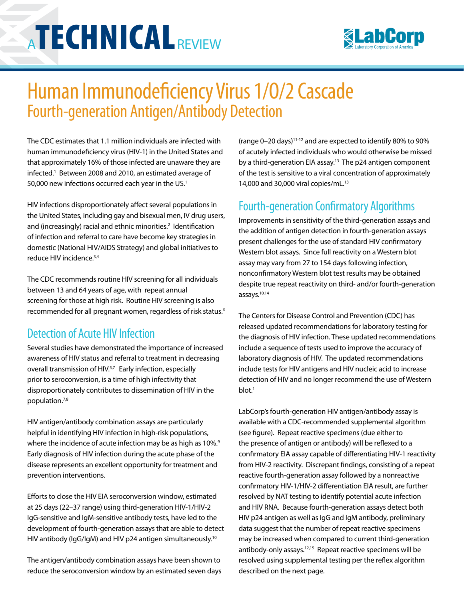# **ATECHNICAL**REVIEW



## Human Immunodeficiency Virus 1/O/2 Cascade Fourth-generation Antigen/Antibody Detection

The CDC estimates that 1.1 million individuals are infected with human immunodeficiency virus (HIV-1) in the United States and that approximately 16% of those infected are unaware they are infected.<sup>1</sup> Between 2008 and 2010, an estimated average of 50,000 new infections occurred each year in the US. $<sup>1</sup>$ </sup>

HIV infections disproportionately affect several populations in the United States, including gay and bisexual men, IV drug users, and (increasingly) racial and ethnic minorities.<sup>2</sup> Identification of infection and referral to care have become key strategies in domestic (National HIV/AIDS Strategy) and global initiatives to reduce HIV incidence.3,4

The CDC recommends routine HIV screening for all individuals between 13 and 64 years of age, with repeat annual screening for those at high risk. Routine HIV screening is also recommended for all pregnant women, regardless of risk status.<sup>3</sup>

#### Detection of Acute HIV Infection

Several studies have demonstrated the importance of increased awareness of HIV status and referral to treatment in decreasing overall transmission of HIV.<sup>5,7</sup> Early infection, especially prior to seroconversion, is a time of high infectivity that disproportionately contributes to dissemination of HIV in the population.7,8

HIV antigen/antibody combination assays are particularly helpful in identifying HIV infection in high-risk populations, where the incidence of acute infection may be as high as 10%. $9$ Early diagnosis of HIV infection during the acute phase of the disease represents an excellent opportunity for treatment and prevention interventions.

Efforts to close the HIV EIA seroconversion window, estimated at 25 days (22–37 range) using third-generation HIV-1/HIV-2 IgG-sensitive and IgM-sensitive antibody tests, have led to the development of fourth-generation assays that are able to detect HIV antibody (IgG/IgM) and HIV p24 antigen simultaneously.<sup>10</sup>

The antigen/antibody combination assays have been shown to reduce the seroconversion window by an estimated seven days (range 0–20 days)11-12 and are expected to identify 80% to 90% of acutely infected individuals who would otherwise be missed by a third-generation EIA assay.<sup>13</sup> The p24 antigen component of the test is sensitive to a viral concentration of approximately 14,000 and 30,000 viral copies/mL.13

### Fourth-generation Confirmatory Algorithms

Improvements in sensitivity of the third-generation assays and the addition of antigen detection in fourth-generation assays present challenges for the use of standard HIV confirmatory Western blot assays. Since full reactivity on a Western blot assay may vary from 27 to 154 days following infection, nonconfirmatory Western blot test results may be obtained despite true repeat reactivity on third- and/or fourth-generation assays.10,14

The Centers for Disease Control and Prevention (CDC) has released updated recommendations for laboratory testing for the diagnosis of HIV infection. These updated recommendations include a sequence of tests used to improve the accuracy of laboratory diagnosis of HIV. The updated recommendations include tests for HIV antigens and HIV nucleic acid to increase detection of HIV and no longer recommend the use of Western blot.1

LabCorp's fourth-generation HIV antigen/antibody assay is available with a CDC-recommended supplemental algorithm (see figure). Repeat reactive specimens (due either to the presence of antigen or antibody) will be reflexed to a confirmatory EIA assay capable of differentiating HIV-1 reactivity from HIV-2 reactivity. Discrepant findings, consisting of a repeat reactive fourth-generation assay followed by a nonreactive confirmatory HIV-1/HIV-2 differentiation EIA result, are further resolved by NAT testing to identify potential acute infection and HIV RNA. Because fourth-generation assays detect both HIV p24 antigen as well as IgG and IgM antibody, preliminary data suggest that the number of repeat reactive specimens may be increased when compared to current third-generation antibody-only assays.12,15 Repeat reactive specimens will be resolved using supplemental testing per the reflex algorithm described on the next page.